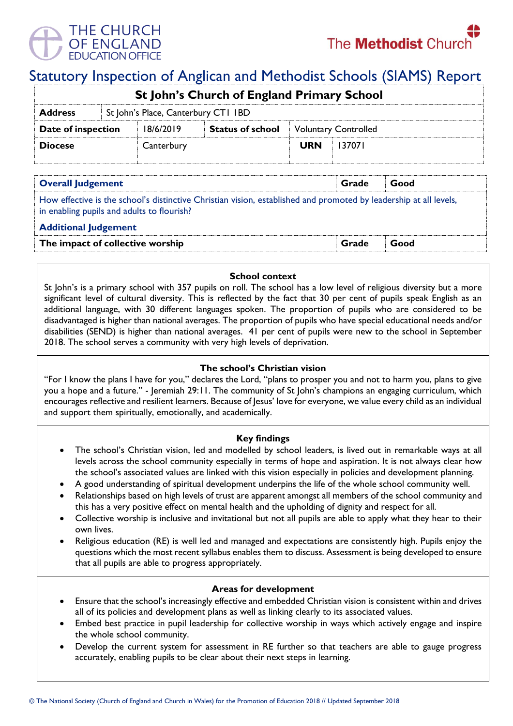

# Statutory Inspection of Anglican and Methodist Schools (SIAMS) Report

| <b>St John's Church of England Primary School</b> |                                     |            |                         |                             |        |  |  |
|---------------------------------------------------|-------------------------------------|------------|-------------------------|-----------------------------|--------|--|--|
| <b>Address</b>                                    | St John's Place, Canterbury CT1 IBD |            |                         |                             |        |  |  |
| Date of inspection                                |                                     | 18/6/2019  | <b>Status of school</b> | <b>Voluntary Controlled</b> |        |  |  |
| <b>Diocese</b>                                    |                                     | Canterbury |                         | <b>URN</b>                  | 137071 |  |  |
|                                                   |                                     |            |                         |                             |        |  |  |

| Grade                                                                                                                                                           | Good |  |  |  |  |  |
|-----------------------------------------------------------------------------------------------------------------------------------------------------------------|------|--|--|--|--|--|
| How effective is the school's distinctive Christian vision, established and promoted by leadership at all levels,<br>in enabling pupils and adults to flourish? |      |  |  |  |  |  |
| <b>Additional Judgement</b>                                                                                                                                     |      |  |  |  |  |  |
| Grade                                                                                                                                                           | Good |  |  |  |  |  |
|                                                                                                                                                                 |      |  |  |  |  |  |

## **School context**

St John's is a primary school with 357 pupils on roll. The school has a low level of religious diversity but a more significant level of cultural diversity. This is reflected by the fact that 30 per cent of pupils speak English as an additional language, with 30 different languages spoken. The proportion of pupils who are considered to be disadvantaged is higher than national averages. The proportion of pupils who have special educational needs and/or disabilities (SEND) is higher than national averages. 41 per cent of pupils were new to the school in September 2018. The school serves a community with very high levels of deprivation.

### **The school's Christian vision**

"For I know the plans I have for you," declares the Lord, "plans to prosper you and not to harm you, plans to give you a hope and a future." - Jeremiah 29:11. The community of St John's champions an engaging curriculum, which encourages reflective and resilient learners. Because of Jesus' love for everyone, we value every child as an individual and support them spiritually, emotionally, and academically.

#### **Key findings**

- The school's Christian vision, led and modelled by school leaders, is lived out in remarkable ways at all levels across the school community especially in terms of hope and aspiration. It is not always clear how the school's associated values are linked with this vision especially in policies and development planning.
- A good understanding of spiritual development underpins the life of the whole school community well.
- Relationships based on high levels of trust are apparent amongst all members of the school community and this has a very positive effect on mental health and the upholding of dignity and respect for all.
- Collective worship is inclusive and invitational but not all pupils are able to apply what they hear to their own lives.
- Religious education (RE) is well led and managed and expectations are consistently high. Pupils enjoy the questions which the most recent syllabus enables them to discuss. Assessment is being developed to ensure that all pupils are able to progress appropriately.

#### **Areas for development**

- Ensure that the school's increasingly effective and embedded Christian vision is consistent within and drives all of its policies and development plans as well as linking clearly to its associated values.
- Embed best practice in pupil leadership for collective worship in ways which actively engage and inspire the whole school community.
- Develop the current system for assessment in RE further so that teachers are able to gauge progress accurately, enabling pupils to be clear about their next steps in learning.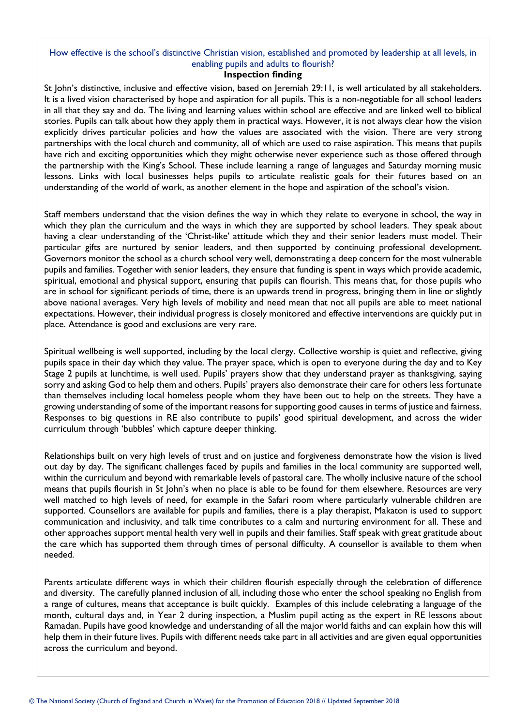# How effective is the school's distinctive Christian vision, established and promoted by leadership at all levels, in enabling pupils and adults to flourish?

#### **Inspection finding**

St John's distinctive, inclusive and effective vision, based on Jeremiah 29:11, is well articulated by all stakeholders. It is a lived vision characterised by hope and aspiration for all pupils. This is a non-negotiable for all school leaders in all that they say and do. The living and learning values within school are effective and are linked well to biblical stories. Pupils can talk about how they apply them in practical ways. However, it is not always clear how the vision explicitly drives particular policies and how the values are associated with the vision. There are very strong partnerships with the local church and community, all of which are used to raise aspiration. This means that pupils have rich and exciting opportunities which they might otherwise never experience such as those offered through the partnership with the King's School. These include learning a range of languages and Saturday morning music lessons. Links with local businesses helps pupils to articulate realistic goals for their futures based on an understanding of the world of work, as another element in the hope and aspiration of the school's vision.

Staff members understand that the vision defines the way in which they relate to everyone in school, the way in which they plan the curriculum and the ways in which they are supported by school leaders. They speak about having a clear understanding of the 'Christ-like' attitude which they and their senior leaders must model. Their particular gifts are nurtured by senior leaders, and then supported by continuing professional development. Governors monitor the school as a church school very well, demonstrating a deep concern for the most vulnerable pupils and families. Together with senior leaders, they ensure that funding is spent in ways which provide academic, spiritual, emotional and physical support, ensuring that pupils can flourish. This means that, for those pupils who are in school for significant periods of time, there is an upwards trend in progress, bringing them in line or slightly above national averages. Very high levels of mobility and need mean that not all pupils are able to meet national expectations. However, their individual progress is closely monitored and effective interventions are quickly put in place. Attendance is good and exclusions are very rare.

Spiritual wellbeing is well supported, including by the local clergy. Collective worship is quiet and reflective, giving pupils space in their day which they value. The prayer space, which is open to everyone during the day and to Key Stage 2 pupils at lunchtime, is well used. Pupils' prayers show that they understand prayer as thanksgiving, saying sorry and asking God to help them and others. Pupils' prayers also demonstrate their care for others less fortunate than themselves including local homeless people whom they have been out to help on the streets. They have a growing understanding of some of the important reasons for supporting good causes in terms of justice and fairness. Responses to big questions in RE also contribute to pupils' good spiritual development, and across the wider curriculum through 'bubbles' which capture deeper thinking.

Relationships built on very high levels of trust and on justice and forgiveness demonstrate how the vision is lived out day by day. The significant challenges faced by pupils and families in the local community are supported well, within the curriculum and beyond with remarkable levels of pastoral care. The wholly inclusive nature of the school means that pupils flourish in St John's when no place is able to be found for them elsewhere. Resources are very well matched to high levels of need, for example in the Safari room where particularly vulnerable children are supported. Counsellors are available for pupils and families, there is a play therapist, Makaton is used to support communication and inclusivity, and talk time contributes to a calm and nurturing environment for all. These and other approaches support mental health very well in pupils and their families. Staff speak with great gratitude about the care which has supported them through times of personal difficulty. A counsellor is available to them when needed.

Parents articulate different ways in which their children flourish especially through the celebration of difference and diversity. The carefully planned inclusion of all, including those who enter the school speaking no English from a range of cultures, means that acceptance is built quickly. Examples of this include celebrating a language of the month, cultural days and, in Year 2 during inspection, a Muslim pupil acting as the expert in RE lessons about Ramadan. Pupils have good knowledge and understanding of all the major world faiths and can explain how this will help them in their future lives. Pupils with different needs take part in all activities and are given equal opportunities across the curriculum and beyond.